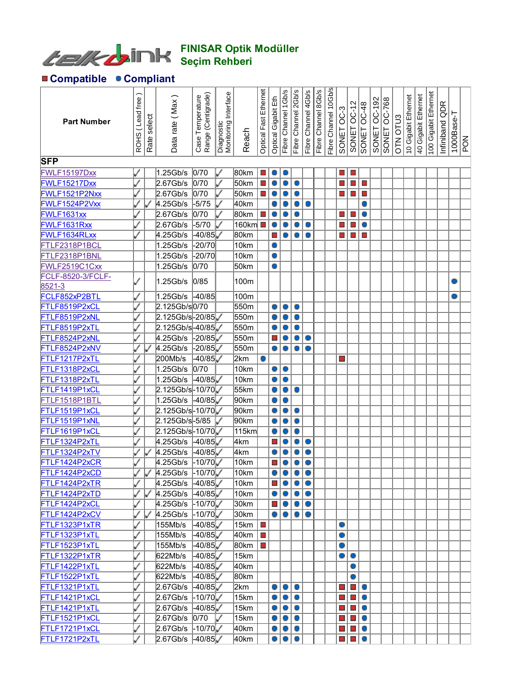

## FINISAR Optik Modüller Seçim Rehberi

## Compatible Compliant

| <b>Part Number</b><br><b>SFP</b> | ROHS (Lead free | Rate select | Data rate (Max)      | Range (Centigrade)<br>Case Temperature | Diagnostic<br>Monitoring Interface | Reach                   | Ethernet<br><b>Optical Fast</b> | 띹<br>Gigabit<br>Optical     | Fibre Channel 1Gb/s | Fibre Channel 2Gb/s | Fibre Channel 4Gb/s | Fibre Channel 8Gb/s | Fibre Channel 10Gb/s | SONET OC-3               | SONET OC-12                      |                | OC-192<br>SONET | OC-768<br>SONET | OTN OTU3 | 10 Gigabit Ethernet | Ethernet<br>40 Gigabit | 100 Gigabit Ethernet | Infiniband QDR | $1000$ Base-T | ļξ |
|----------------------------------|-----------------|-------------|----------------------|----------------------------------------|------------------------------------|-------------------------|---------------------------------|-----------------------------|---------------------|---------------------|---------------------|---------------------|----------------------|--------------------------|----------------------------------|----------------|-----------------|-----------------|----------|---------------------|------------------------|----------------------|----------------|---------------|----|
| <b>FWLF15197Dxx</b>              |                 |             | 1.25Gb/s             | 0/70                                   | ✓                                  | 80km                    | $\mathcal{L}_{\mathcal{A}}$     |                             | $\circ$             |                     |                     |                     |                      | $\blacksquare$           | $\mathcal{L}_{\mathcal{A}}$      |                |                 |                 |          |                     |                        |                      |                |               |    |
| FWLF15217Dxx                     |                 |             | 2.67Gb/s             | 0/70                                   | ✓                                  | 50km                    | $\mathcal{L}_{\mathcal{A}}$     | $\bigcirc$                  | о                   | O                   |                     |                     |                      | $\blacksquare$           | $\Box$                           | $\Box$         |                 |                 |          |                     |                        |                      |                |               |    |
| FWLF1521P2Nxx                    |                 |             | 2.67Gb/s             | 0/70                                   | ✓                                  | 50km                    | $\Box$                          |                             |                     | O                   |                     |                     |                      | $\blacksquare$           | $\mathcal{L}_{\mathcal{A}}$      | $\Box$         |                 |                 |          |                     |                        |                      |                |               |    |
| FWLF1524P2Vxx                    |                 |             | $4.25$ Gb/s          | $-5/75$                                | ✓                                  | 40km                    |                                 |                             |                     | О                   | $\circ$             |                     |                      |                          |                                  | O              |                 |                 |          |                     |                        |                      |                |               |    |
| FWLF1631xx                       |                 |             | 2.67Gb/s             | 0/70                                   |                                    | 80km                    | $\Box$                          |                             |                     |                     |                     |                     |                      | $\Box$                   | $\mathbb{Z}^2$                   | O              |                 |                 |          |                     |                        |                      |                |               |    |
| FWLF1631Rxx                      |                 |             | 2.67Gb/s             | $-5/70$                                |                                    | $160$ km $\blacksquare$ |                                 |                             |                     |                     | $\circ$             |                     |                      | $\blacksquare$           | $\Box$                           | O              |                 |                 |          |                     |                        |                      |                |               |    |
| FWLF1634RLxx                     |                 |             | $4.25$ Gb/s          | $-40/85$                               |                                    | 80km                    |                                 |                             |                     |                     | 0                   |                     |                      | $\blacksquare$           | $\mathbb{Z}^2$                   | $\mathbb{R}^n$ |                 |                 |          |                     |                        |                      |                |               |    |
| FTLF2318P1BCL                    |                 |             | 1.25Gb/s             | 20/70                                  |                                    | 10km                    |                                 | O                           |                     |                     |                     |                     |                      |                          |                                  |                |                 |                 |          |                     |                        |                      |                |               |    |
| FTLF2318P1BNL                    |                 |             | $1.25$ Gb/s          | 20/70                                  |                                    | 10km                    |                                 | O                           |                     |                     |                     |                     |                      |                          |                                  |                |                 |                 |          |                     |                        |                      |                |               |    |
| FWLF2519C1Cxx                    |                 |             | 1.25Gb/s             | 0/70                                   |                                    | 50km                    |                                 | 0                           |                     |                     |                     |                     |                      |                          |                                  |                |                 |                 |          |                     |                        |                      |                |               |    |
| <b>FCLF-8520-3/FCLF-</b>         |                 |             |                      |                                        |                                    |                         |                                 |                             |                     |                     |                     |                     |                      |                          |                                  |                |                 |                 |          |                     |                        |                      |                |               |    |
| 8521-3                           |                 |             | 1.25Gb/s             | 0/85                                   |                                    | 100m                    |                                 |                             |                     |                     |                     |                     |                      |                          |                                  |                |                 |                 |          |                     |                        |                      |                |               |    |
| FCLF852xP2BTL                    |                 |             | 1.25Gb/s             | -40/85                                 |                                    | 100m                    |                                 |                             |                     |                     |                     |                     |                      |                          |                                  |                |                 |                 |          |                     |                        |                      |                |               |    |
| FTLF8519P2xCL                    |                 |             | 2.125Gb/s0/70        |                                        |                                    | 550m                    |                                 | 0                           | о                   | O                   |                     |                     |                      |                          |                                  |                |                 |                 |          |                     |                        |                      |                |               |    |
| FTLF8519P2xNL                    |                 |             | 2.125Gb/s-20/85      |                                        |                                    | 550m                    |                                 |                             | Ο                   | O                   |                     |                     |                      |                          |                                  |                |                 |                 |          |                     |                        |                      |                |               |    |
| FTLF8519P2xTL                    |                 |             | 2.125Gb/s-40/85      |                                        |                                    | 550m                    |                                 |                             |                     | O                   |                     |                     |                      |                          |                                  |                |                 |                 |          |                     |                        |                      |                |               |    |
| FTLF8524P2xNL                    |                 |             | $4.25$ Gb/s          | $-20/85$                               |                                    | 550m                    |                                 |                             |                     | O                   | $\circ$             |                     |                      |                          |                                  |                |                 |                 |          |                     |                        |                      |                |               |    |
| FTLF8524P2xNV                    |                 |             | $4.25$ Gb/s          | $-20/85$                               |                                    | 550m                    |                                 | 0                           | Ο                   | Ō                   | Ō                   |                     |                      |                          |                                  |                |                 |                 |          |                     |                        |                      |                |               |    |
| FTLF1217P2xTL                    |                 |             | 200Mb/s              | $-40/85$                               |                                    | 2km                     |                                 |                             |                     |                     |                     |                     |                      | $\blacksquare$           |                                  |                |                 |                 |          |                     |                        |                      |                |               |    |
| FTLF1318P2xCL                    |                 |             | 1.25Gb/s             | 0/70                                   |                                    | 10km                    |                                 | 0                           | 0                   |                     |                     |                     |                      |                          |                                  |                |                 |                 |          |                     |                        |                      |                |               |    |
| FTLF1318P2xTL                    |                 |             | 1.25Gb/s             | 40/85                                  |                                    | 10km                    |                                 | 0                           | O                   |                     |                     |                     |                      |                          |                                  |                |                 |                 |          |                     |                        |                      |                |               |    |
| FTLF1419P1xCL                    |                 |             | 2.125Gb/s-10/70      |                                        |                                    | 55km                    |                                 |                             | 0                   | O                   |                     |                     |                      |                          |                                  |                |                 |                 |          |                     |                        |                      |                |               |    |
| FTLF1518P1BTL                    |                 |             | $1.25$ Gb/s          | 40/85                                  |                                    | 90km                    |                                 |                             | 0                   |                     |                     |                     |                      |                          |                                  |                |                 |                 |          |                     |                        |                      |                |               |    |
| FTLF1519P1xCL                    |                 |             | 2.125Gb/s-10/70      |                                        |                                    | 90km                    |                                 | 0                           | 0                   | O                   |                     |                     |                      |                          |                                  |                |                 |                 |          |                     |                        |                      |                |               |    |
| FTLF1519P1xNL                    |                 |             | 2.125Gb/s-5/85       |                                        |                                    | 90km                    |                                 |                             |                     | O                   |                     |                     |                      |                          |                                  |                |                 |                 |          |                     |                        |                      |                |               |    |
| FTLF1619P1xCL                    |                 |             | 2.125Gb/s-10/70      |                                        |                                    | 115km                   |                                 |                             |                     | O                   |                     |                     |                      |                          |                                  |                |                 |                 |          |                     |                        |                      |                |               |    |
| FTLF1324P2xTL                    |                 |             | $4.25$ Gb/s          | 40/85                                  |                                    | 4km                     |                                 |                             | Ο                   | O                   | $\circ$             |                     |                      |                          |                                  |                |                 |                 |          |                     |                        |                      |                |               |    |
| FTLF1324P2xTV                    |                 |             | 4.25Gb/s             | $-40/85$                               |                                    | 4km                     |                                 |                             |                     | Ō                   | $\bigcirc$          |                     |                      |                          |                                  |                |                 |                 |          |                     |                        |                      |                |               |    |
| FTLF1424P2xCR                    |                 |             | $4.25$ Gb/s          | $-10/70$                               |                                    | 10km                    |                                 |                             |                     |                     | $\bigcirc$          |                     |                      |                          |                                  |                |                 |                 |          |                     |                        |                      |                |               |    |
| FTLF1424P2xCD                    |                 |             | 4.25Gb/s -10/70      |                                        |                                    | $\sqrt{10}$ km          |                                 |                             |                     | $\circ\circ\circ$   |                     |                     |                      |                          |                                  |                |                 |                 |          |                     |                        |                      |                |               |    |
| FTLF1424P2xTR                    |                 |             | 4.25Gb/s             | $-40/85$                               |                                    | 10km                    |                                 | $\mathcal{C}^{\mathcal{A}}$ | $\bigcirc$          | $\bullet$           | $\bullet$           |                     |                      |                          |                                  |                |                 |                 |          |                     |                        |                      |                |               |    |
| FTLF1424P2xTD                    |                 |             | 4.25Gb/s             | $-40/85$                               |                                    | 10km                    |                                 |                             | $\circ$             | O                   | $\bullet$           |                     |                      |                          |                                  |                |                 |                 |          |                     |                        |                      |                |               |    |
| FTLF1424P2xCL                    |                 |             | 4.25Gb/s             | $-10/70$                               |                                    | 30km                    |                                 |                             | $\circ$             | O                   | $\circ$             |                     |                      |                          |                                  |                |                 |                 |          |                     |                        |                      |                |               |    |
| FTLF1424P2xCV                    |                 |             | 4.25Gb/s             | 10/70                                  |                                    | 30km                    |                                 | 0                           | O                   | O                   | $\circ$             |                     |                      |                          |                                  |                |                 |                 |          |                     |                        |                      |                |               |    |
| FTLF1323P1xTR                    |                 |             | 155Mb/s              | $-40/85$                               |                                    | 15km                    | $\mathbb{R}^n$                  |                             |                     |                     |                     |                     |                      | O                        |                                  |                |                 |                 |          |                     |                        |                      |                |               |    |
| FTLF1323P1xTL                    |                 |             | 155Mb/s              | $-40/85$                               |                                    | 40km                    | $\mathbb{R}^n$                  |                             |                     |                     |                     |                     |                      | O                        |                                  |                |                 |                 |          |                     |                        |                      |                |               |    |
| FTLF1523P1xTL                    |                 |             | 155Mb/s              | $-40/85$                               |                                    | 80km                    | <b>The Second Service</b>       |                             |                     |                     |                     |                     |                      | O                        |                                  |                |                 |                 |          |                     |                        |                      |                |               |    |
| FTLF1322P1xTR                    |                 |             | 622Mb/s              | $-40/85$                               |                                    | 15km                    |                                 |                             |                     |                     |                     |                     |                      | O                        | $\bullet$                        |                |                 |                 |          |                     |                        |                      |                |               |    |
| FTLF1422P1xTL                    |                 |             | 622Mb/s              | $-40/85$                               |                                    | 40km                    |                                 |                             |                     |                     |                     |                     |                      |                          | 0                                |                |                 |                 |          |                     |                        |                      |                |               |    |
| FTLF1522P1xTL                    |                 |             | 622Mb/s              | $-40/85$                               |                                    | 80km                    |                                 |                             |                     |                     |                     |                     |                      |                          | 0                                |                |                 |                 |          |                     |                        |                      |                |               |    |
| FTLF1321P1xTL                    |                 |             | 2.67Gb/s             | 40/85                                  |                                    | 2km                     |                                 | 0                           | $\circ$             | O<br>O              |                     |                     |                      | $\blacksquare$           | $\sim$                           | O              |                 |                 |          |                     |                        |                      |                |               |    |
| FTLF1421P1xCL                    |                 |             | 2.67Gb/s             | $-10/70$                               |                                    | 15km                    |                                 | 0<br>0                      | $\circ$<br>$\circ$  |                     |                     |                     |                      | $\blacksquare$           | $\mathbb{R}^n$<br>$\mathbb{R}^n$ | O<br>O         |                 |                 |          |                     |                        |                      |                |               |    |
| FTLF1421P1xTL                    |                 |             | 2.67Gb/s             | $-40/85$                               |                                    | 15km                    |                                 | 0                           | $\circ$             | O<br>$\circ$        |                     |                     |                      | $\Box$<br>$\blacksquare$ | $\mathcal{L}^{\mathcal{A}}$      | O              |                 |                 |          |                     |                        |                      |                |               |    |
| FTLF1521P1xCL                    |                 |             | 2.67Gb/s<br>2.67Gb/s | 0/70                                   |                                    | 15km                    |                                 | 0                           | $\bullet$           | O                   |                     |                     |                      | $\Box$                   | $\sim$                           | O              |                 |                 |          |                     |                        |                      |                |               |    |
| FTLF1721P1xCL                    |                 |             | 2.67Gb/s             | $-10/70$                               |                                    | 40km                    |                                 | $\bigcirc$                  | $\bigcirc$          | O                   |                     |                     |                      | $\Box$                   | $\mathbb{R}^n$                   | O              |                 |                 |          |                     |                        |                      |                |               |    |
| FTLF1721P2xTL                    |                 |             |                      | $ 40/85\rangle$                        |                                    | 40km                    |                                 |                             |                     |                     |                     |                     |                      |                          |                                  |                |                 |                 |          |                     |                        |                      |                |               |    |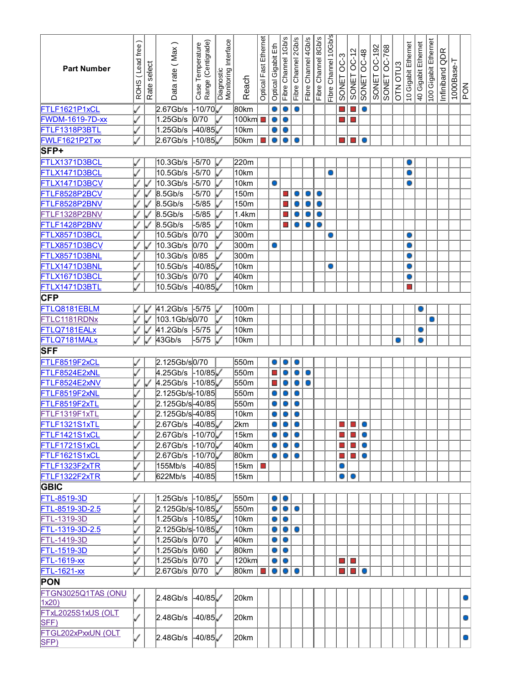| <b>Part Number</b>     | Lead free<br><b>ROHS</b> | select<br>Rate | Data rate (Max       | Case Temperature<br>Range (Centigrade) | Monitoring Interface<br>Diagnostic | Reach           | Optical Fast Ethernet | Optical Gigabit Eth | Fibre Channel 1Gb/s | Fibre Channel 2Gb/s | Fibre Channel 4Gb/s | Fibre Channel 8Gb/s | Fibre Channel 10Gb/s | SONET OC-3 | $OC-12$<br><b>SONET</b>                    | OC-48<br>SONET | OC-192<br>SONET | SONET OC-768 | <b>OTN OTU3</b> | 10 Gigabit Ethernet | Ethernet<br>40 Gigabit | 100 Gigabit Ethernet | QDR<br>Infiniband | $1000$ Base-T | PON       |
|------------------------|--------------------------|----------------|----------------------|----------------------------------------|------------------------------------|-----------------|-----------------------|---------------------|---------------------|---------------------|---------------------|---------------------|----------------------|------------|--------------------------------------------|----------------|-----------------|--------------|-----------------|---------------------|------------------------|----------------------|-------------------|---------------|-----------|
| FTLF1621P1xCL          |                          |                | 2.67Gb/s             | 10/70√⊦                                |                                    | 80km            |                       |                     |                     |                     |                     |                     |                      |            |                                            | O              |                 |              |                 |                     |                        |                      |                   |               |           |
| <b>FWDM-1619-7D-xx</b> |                          |                | 1.25Gb/s             | 0/70                                   |                                    | 100km  ∎        |                       | O                   |                     |                     |                     |                     |                      |            |                                            |                |                 |              |                 |                     |                        |                      |                   |               |           |
| FTLF1318P3BTL          |                          |                | 1.25Gb/s             | $-40/85$                               |                                    | 10km            |                       |                     |                     |                     |                     |                     |                      |            |                                            |                |                 |              |                 |                     |                        |                      |                   |               |           |
| FWLF1621P2Txx          |                          |                | 2.67Gb/s             | 10/85                                  |                                    | 50km            |                       |                     |                     |                     |                     |                     |                      |            | $\blacksquare$                             | Ō              |                 |              |                 |                     |                        |                      |                   |               |           |
| SFP+                   |                          |                |                      |                                        |                                    |                 |                       |                     |                     |                     |                     |                     |                      |            |                                            |                |                 |              |                 |                     |                        |                      |                   |               |           |
| FTLX1371D3BCL          |                          |                | 10.3Gb/s             | -5/70                                  |                                    | 220m            |                       |                     |                     |                     |                     |                     |                      |            |                                            |                |                 |              |                 |                     |                        |                      |                   |               |           |
| FTLX1471D3BCL          |                          |                | 10.5Gb/s             | $-5/70$                                |                                    | 10km            |                       |                     |                     |                     |                     |                     | O                    |            |                                            |                |                 |              |                 |                     |                        |                      |                   |               |           |
| FTLX1471D3BCV          |                          |                | 10.3Gb/s             | $-5/70$                                |                                    | 10km            |                       |                     |                     |                     |                     |                     |                      |            |                                            |                |                 |              |                 |                     |                        |                      |                   |               |           |
| FTLF8528P2BCV          |                          |                | 8.5Gb/s              | $-5/70$                                |                                    | 150m            |                       |                     |                     | O                   | O                   | 0                   |                      |            |                                            |                |                 |              |                 |                     |                        |                      |                   |               |           |
| FTLF8528P2BNV          |                          |                | 8.5Gb/s              | $-5/85$                                |                                    | 150m            |                       |                     |                     | O                   |                     | 0                   |                      |            |                                            |                |                 |              |                 |                     |                        |                      |                   |               |           |
| FTLF1328P2BNV          |                          |                | 8.5Gb/s              | $-5/85$                                |                                    | 1.4km           |                       |                     |                     |                     |                     | O                   |                      |            |                                            |                |                 |              |                 |                     |                        |                      |                   |               |           |
| FTLF1428P2BNV          |                          |                | 8.5Gb/s              | $-5/85$                                |                                    | 10km            |                       |                     |                     |                     |                     | O                   |                      |            |                                            |                |                 |              |                 |                     |                        |                      |                   |               |           |
| FTLX8571D3BCL          |                          |                | 10.5Gb/s             | 0/70                                   |                                    | 300m            |                       |                     |                     |                     |                     |                     |                      |            |                                            |                |                 |              |                 |                     |                        |                      |                   |               |           |
|                        |                          |                |                      |                                        |                                    |                 |                       |                     |                     |                     |                     |                     |                      |            |                                            |                |                 |              |                 |                     |                        |                      |                   |               |           |
| FTLX8571D3BCV          |                          |                | $10.3$ Gb/s          | 0/70                                   |                                    | 300m            |                       | O                   |                     |                     |                     |                     |                      |            |                                            |                |                 |              |                 |                     |                        |                      |                   |               |           |
| FTLX8571D3BNL          |                          |                | 10.3Gb/s             | 0/85                                   |                                    | 300m            |                       |                     |                     |                     |                     |                     |                      |            |                                            |                |                 |              |                 |                     |                        |                      |                   |               |           |
| FTLX1471D3BNL          |                          |                | 10.5Gb/s             | $-40/85$                               |                                    | 10km            |                       |                     |                     |                     |                     |                     |                      |            |                                            |                |                 |              |                 |                     |                        |                      |                   |               |           |
| FTLX1671D3BCL          |                          |                | $10.3$ Gb/s          | 0/70                                   |                                    | 40km            |                       |                     |                     |                     |                     |                     |                      |            |                                            |                |                 |              |                 |                     |                        |                      |                   |               |           |
| FTLX1471D3BTL          |                          |                | 10.5Gb/s             | $-40/85$                               |                                    | 10km            |                       |                     |                     |                     |                     |                     |                      |            |                                            |                |                 |              |                 |                     |                        |                      |                   |               |           |
| <b>CFP</b>             |                          |                |                      |                                        |                                    |                 |                       |                     |                     |                     |                     |                     |                      |            |                                            |                |                 |              |                 |                     |                        |                      |                   |               |           |
| FTLQ8181EBLM           |                          |                | 41.2Gb/s             | $-5/75$                                |                                    | 100m            |                       |                     |                     |                     |                     |                     |                      |            |                                            |                |                 |              |                 |                     |                        |                      |                   |               |           |
| FTLC1181RDNx           |                          |                | 103.1Gb/s0/70        |                                        |                                    | 10km            |                       |                     |                     |                     |                     |                     |                      |            |                                            |                |                 |              |                 |                     |                        |                      |                   |               |           |
| FTLQ7181EALx           |                          |                | 41.2Gb/s             | $-5/75$                                |                                    | 10km            |                       |                     |                     |                     |                     |                     |                      |            |                                            |                |                 |              |                 |                     |                        |                      |                   |               |           |
| FTLQ7181MALx           |                          |                | 43Gb/s               | $-5/75$                                |                                    | 10km            |                       |                     |                     |                     |                     |                     |                      |            |                                            |                |                 |              |                 |                     |                        |                      |                   |               |           |
| <b>SFF</b>             |                          |                |                      |                                        |                                    |                 |                       |                     |                     |                     |                     |                     |                      |            |                                            |                |                 |              |                 |                     |                        |                      |                   |               |           |
| FTLF8519F2xCL          |                          |                | 2.125Gb/s0/70        |                                        |                                    | 550m            |                       |                     |                     |                     |                     |                     |                      |            |                                            |                |                 |              |                 |                     |                        |                      |                   |               |           |
| FTLF8524E2xNL          |                          |                | $4.25$ Gb/s          | ⊦10/85 √                               |                                    | 550m            |                       | ×                   |                     |                     |                     |                     |                      |            |                                            |                |                 |              |                 |                     |                        |                      |                   |               |           |
| FTLF8524E2xNV          |                          |                | $4.25$ Gb/s          | $-10/85$                               |                                    | 550m            |                       | ×                   |                     |                     |                     |                     |                      |            |                                            |                |                 |              |                 |                     |                        |                      |                   |               |           |
| FTLF8519F2xNL          |                          |                | 2.125Gb/s-10/85      |                                        |                                    | 550m            |                       |                     |                     | O                   |                     |                     |                      |            |                                            |                |                 |              |                 |                     |                        |                      |                   |               |           |
| FTLF8519F2xTL          |                          |                | 2.125Gb/s-40/85      |                                        |                                    | 550m            |                       |                     |                     | O                   |                     |                     |                      |            |                                            |                |                 |              |                 |                     |                        |                      |                   |               |           |
| FTLF1319F1xTL          |                          |                | 2.125Gb/s-40/85      |                                        |                                    | 10km            |                       |                     |                     | O                   |                     |                     |                      |            |                                            |                |                 |              |                 |                     |                        |                      |                   |               |           |
| FTLF1321S1xTL          |                          |                | 2.67Gb/s -40/85      |                                        |                                    | 2km             |                       |                     | 01010               |                     |                     |                     |                      |            | $\Box$ $\Box$ $\odot$                      |                |                 |              |                 |                     |                        |                      |                   |               |           |
| FTLF1421S1xCL          |                          |                | $2.67$ Gb/s $-10/70$ |                                        |                                    | 15km            |                       | O                   | $\bullet$           | $\circ$             |                     |                     |                      |            | $\blacksquare$ $\blacksquare$ $\heartsuit$ |                |                 |              |                 |                     |                        |                      |                   |               |           |
| FTLF1721S1xCL          |                          |                | 2.67Gb/s -10/70      |                                        |                                    | 40km            |                       | O                   | ۱o                  | $\bullet$           |                     |                     |                      |            | E E O                                      |                |                 |              |                 |                     |                        |                      |                   |               |           |
| FTLF1621S1xCL          |                          |                | 2.67Gb/s -10/70      |                                        |                                    | 80km            |                       | $\bullet$           | $\bullet$           | $\circ$             |                     |                     |                      |            | <b>LI</b> LI O                             |                |                 |              |                 |                     |                        |                      |                   |               |           |
| FTLF1323F2xTR          | ✓                        |                | 155Mb/s              | $-40/85$                               |                                    | 15km   <b>■</b> |                       |                     |                     |                     |                     |                     |                      | O          |                                            |                |                 |              |                 |                     |                        |                      |                   |               |           |
| FTLF1322F2xTR          | Í                        |                | 622Mb/s              | $-40/85$                               |                                    | 15km            |                       |                     |                     |                     |                     |                     |                      | $\bullet$  | $\circ$                                    |                |                 |              |                 |                     |                        |                      |                   |               |           |
|                        |                          |                |                      |                                        |                                    |                 |                       |                     |                     |                     |                     |                     |                      |            |                                            |                |                 |              |                 |                     |                        |                      |                   |               |           |
| <b>GBIC</b>            |                          |                |                      |                                        |                                    |                 |                       |                     |                     |                     |                     |                     |                      |            |                                            |                |                 |              |                 |                     |                        |                      |                   |               |           |
| FTL-8519-3D            |                          |                |                      |                                        |                                    | 550m            |                       | O                   | $\bullet$           |                     |                     |                     |                      |            |                                            |                |                 |              |                 |                     |                        |                      |                   |               |           |
| FTL-8519-3D-2.5        |                          |                | 2.125Gb/s-10/85      |                                        |                                    | 550m            |                       | O                   | $\bullet$           | O                   |                     |                     |                      |            |                                            |                |                 |              |                 |                     |                        |                      |                   |               |           |
| FTL-1319-3D            |                          |                |                      |                                        |                                    | 10km            |                       | 0                   | $\bullet$           |                     |                     |                     |                      |            |                                            |                |                 |              |                 |                     |                        |                      |                   |               |           |
| FTL-1319-3D-2.5        |                          |                | 2.125Gb/s-10/85      |                                        |                                    | 10km            |                       | 0                   | $\bigcirc$          | $\circ$             |                     |                     |                      |            |                                            |                |                 |              |                 |                     |                        |                      |                   |               |           |
| FTL-1419-3D            |                          |                | 1.25Gb/s 0/70        |                                        |                                    | 40km            |                       | 0                   | $\circ$             |                     |                     |                     |                      |            |                                            |                |                 |              |                 |                     |                        |                      |                   |               |           |
| FTL-1519-3D            |                          |                | 1.25Gb/s 0/60        |                                        | ✓                                  | 80km            |                       | 0                   | $\circ$             |                     |                     |                     |                      |            |                                            |                |                 |              |                 |                     |                        |                      |                   |               |           |
| <b>FTL-1619-xx</b>     |                          |                | 1.25Gb/s 0/70        |                                        | ✓                                  | 120km           |                       | O                   | $\circ$             |                     |                     |                     |                      | o l        | $\blacksquare$                             |                |                 |              |                 |                     |                        |                      |                   |               |           |
| FTL-1621-xx            |                          |                | $2.67Gb/s$ 0/70      |                                        |                                    | 80km   <b>□</b> |                       | $\circ$             | $\bullet$           | O                   |                     |                     |                      |            | $\mathcal{L}_{\mathcal{A}}$                | $\circ$        |                 |              |                 |                     |                        |                      |                   |               |           |
| <b>PON</b>             |                          |                |                      |                                        |                                    |                 |                       |                     |                     |                     |                     |                     |                      |            |                                            |                |                 |              |                 |                     |                        |                      |                   |               |           |
| FTGN3025Q1TAS (ONU     |                          |                |                      |                                        |                                    |                 |                       |                     |                     |                     |                     |                     |                      |            |                                            |                |                 |              |                 |                     |                        |                      |                   |               |           |
| 1x20                   |                          |                | $2.48$ Gb/s $-40/85$ |                                        |                                    | 20km            |                       |                     |                     |                     |                     |                     |                      |            |                                            |                |                 |              |                 |                     |                        |                      |                   |               | $\bullet$ |
| FTxL2025S1xUS (OLT     |                          |                |                      |                                        |                                    |                 |                       |                     |                     |                     |                     |                     |                      |            |                                            |                |                 |              |                 |                     |                        |                      |                   |               |           |
| SFF)                   |                          |                | 2.48Gb/s             | $-40/85$                               |                                    | 20km            |                       |                     |                     |                     |                     |                     |                      |            |                                            |                |                 |              |                 |                     |                        |                      |                   |               | о         |
| FTGL202xPxxUN (OLT     |                          |                |                      |                                        |                                    |                 |                       |                     |                     |                     |                     |                     |                      |            |                                            |                |                 |              |                 |                     |                        |                      |                   |               |           |
| SFP)                   |                          |                | 2.48Gb/s $-40/85$    |                                        |                                    | 20km            |                       |                     |                     |                     |                     |                     |                      |            |                                            |                |                 |              |                 |                     |                        |                      |                   |               | O         |
|                        |                          |                |                      |                                        |                                    |                 |                       |                     |                     |                     |                     |                     |                      |            |                                            |                |                 |              |                 |                     |                        |                      |                   |               |           |